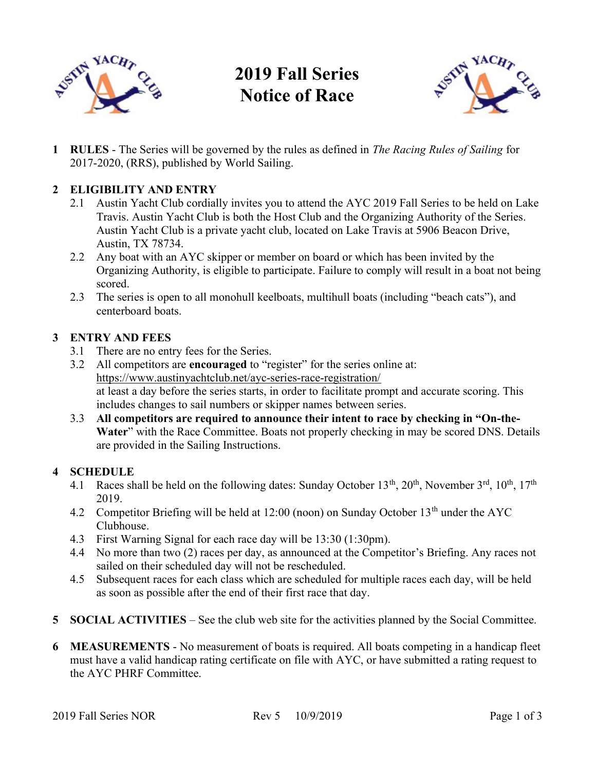

# 2019 Fall Series Notice of Race



1 RULES - The Series will be governed by the rules as defined in The Racing Rules of Sailing for 2017-2020, (RRS), published by World Sailing.

## 2 ELIGIBILITY AND ENTRY

- 2.1 Austin Yacht Club cordially invites you to attend the AYC 2019 Fall Series to be held on Lake Travis. Austin Yacht Club is both the Host Club and the Organizing Authority of the Series. Austin Yacht Club is a private yacht club, located on Lake Travis at 5906 Beacon Drive, Austin, TX 78734.
- 2.2 Any boat with an AYC skipper or member on board or which has been invited by the Organizing Authority, is eligible to participate. Failure to comply will result in a boat not being scored.
- 2.3 The series is open to all monohull keelboats, multihull boats (including "beach cats"), and centerboard boats.

#### 3 ENTRY AND FEES

- 3.1 There are no entry fees for the Series.
- 3.2 All competitors are encouraged to "register" for the series online at: https://www.austinyachtclub.net/ayc-series-race-registration/ at least a day before the series starts, in order to facilitate prompt and accurate scoring. This includes changes to sail numbers or skipper names between series.
- 3.3 All competitors are required to announce their intent to race by checking in "On-the-Water" with the Race Committee. Boats not properly checking in may be scored DNS. Details are provided in the Sailing Instructions.

### 4 SCHEDULE

- 4.1 Races shall be held on the following dates: Sunday October  $13<sup>th</sup>$ ,  $20<sup>th</sup>$ , November  $3<sup>rd</sup>$ ,  $10<sup>th</sup>$ ,  $17<sup>th</sup>$ 2019.
- 4.2 Competitor Briefing will be held at 12:00 (noon) on Sunday October 13<sup>th</sup> under the AYC Clubhouse.
- 4.3 First Warning Signal for each race day will be 13:30 (1:30pm).
- 4.4 No more than two (2) races per day, as announced at the Competitor's Briefing. Any races not sailed on their scheduled day will not be rescheduled.
- 4.5 Subsequent races for each class which are scheduled for multiple races each day, will be held as soon as possible after the end of their first race that day.
- 5 SOCIAL ACTIVITIES See the club web site for the activities planned by the Social Committee.
- 6 MEASUREMENTS No measurement of boats is required. All boats competing in a handicap fleet must have a valid handicap rating certificate on file with AYC, or have submitted a rating request to the AYC PHRF Committee.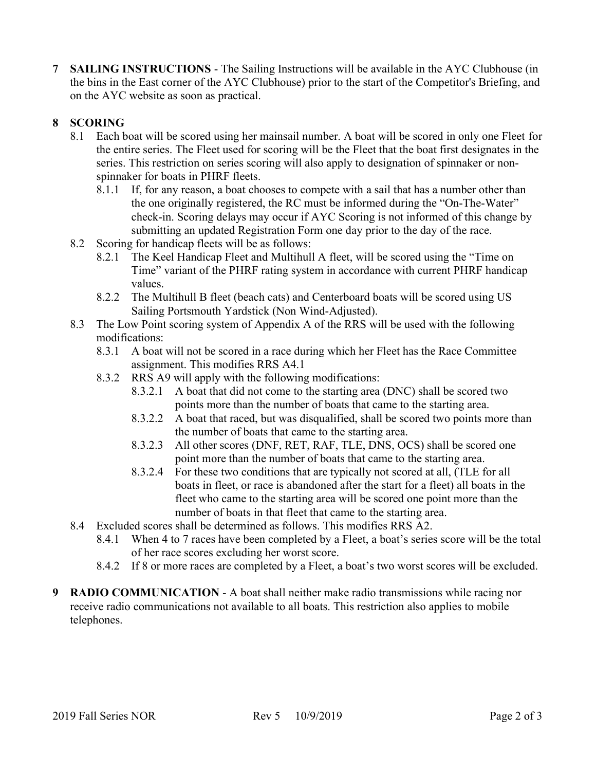**SAILING INSTRUCTIONS - The Sailing Instructions will be available in the AYC Clubhouse (in** the bins in the East corner of the AYC Clubhouse) prior to the start of the Competitor's Briefing, and on the AYC website as soon as practical.

# 8 SCORING

- 8.1 Each boat will be scored using her mainsail number. A boat will be scored in only one Fleet for the entire series. The Fleet used for scoring will be the Fleet that the boat first designates in the series. This restriction on series scoring will also apply to designation of spinnaker or nonspinnaker for boats in PHRF fleets.
	- 8.1.1 If, for any reason, a boat chooses to compete with a sail that has a number other than the one originally registered, the RC must be informed during the "On-The-Water" check-in. Scoring delays may occur if AYC Scoring is not informed of this change by submitting an updated Registration Form one day prior to the day of the race.
- 8.2 Scoring for handicap fleets will be as follows:
	- 8.2.1 The Keel Handicap Fleet and Multihull A fleet, will be scored using the "Time on Time" variant of the PHRF rating system in accordance with current PHRF handicap values.
	- 8.2.2 The Multihull B fleet (beach cats) and Centerboard boats will be scored using US Sailing Portsmouth Yardstick (Non Wind-Adjusted).
- 8.3 The Low Point scoring system of Appendix A of the RRS will be used with the following modifications:
	- 8.3.1 A boat will not be scored in a race during which her Fleet has the Race Committee assignment. This modifies RRS A4.1
	- 8.3.2 RRS A9 will apply with the following modifications:
		- 8.3.2.1 A boat that did not come to the starting area (DNC) shall be scored two points more than the number of boats that came to the starting area.
		- 8.3.2.2 A boat that raced, but was disqualified, shall be scored two points more than the number of boats that came to the starting area.
		- 8.3.2.3 All other scores (DNF, RET, RAF, TLE, DNS, OCS) shall be scored one point more than the number of boats that came to the starting area.
		- 8.3.2.4 For these two conditions that are typically not scored at all, (TLE for all boats in fleet, or race is abandoned after the start for a fleet) all boats in the fleet who came to the starting area will be scored one point more than the number of boats in that fleet that came to the starting area.
- 8.4 Excluded scores shall be determined as follows. This modifies RRS A2.
	- 8.4.1 When 4 to 7 races have been completed by a Fleet, a boat's series score will be the total of her race scores excluding her worst score.
	- 8.4.2 If 8 or more races are completed by a Fleet, a boat's two worst scores will be excluded.
- 9 RADIO COMMUNICATION A boat shall neither make radio transmissions while racing nor receive radio communications not available to all boats. This restriction also applies to mobile telephones.